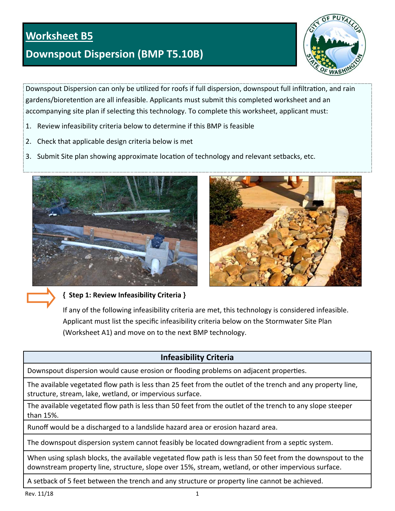# **Worksheet B5**

# **Downspout Dispersion (BMP T5.10B)**



Downspout Dispersion can only be utilized for roofs if full dispersion, downspout full infiltration, and rain gardens/bioretention are all infeasible. Applicants must submit this completed worksheet and an accompanying site plan if selecting this technology. To complete this worksheet, applicant must:

- 1. Review infeasibility criteria below to determine if this BMP is feasible
- 2. Check that applicable design criteria below is met
- 3. Submit Site plan showing approximate location of technology and relevant setbacks, etc.





**{ Step 1: Review Infeasibility Criteria }** 

If any of the following infeasibility criteria are met, this technology is considered infeasible. Applicant must list the specific infeasibility criteria below on the Stormwater Site Plan (Worksheet A1) and move on to the next BMP technology.

## **Infeasibility Criteria**

Downspout dispersion would cause erosion or flooding problems on adjacent properties.

The available vegetated flow path is less than 25 feet from the outlet of the trench and any property line, structure, stream, lake, wetland, or impervious surface.

The available vegetated flow path is less than 50 feet from the outlet of the trench to any slope steeper than 15%.

Runoff would be a discharged to a landslide hazard area or erosion hazard area.

The downspout dispersion system cannot feasibly be located downgradient from a septic system.

When using splash blocks, the available vegetated flow path is less than 50 feet from the downspout to the downstream property line, structure, slope over 15%, stream, wetland, or other impervious surface.

A setback of 5 feet between the trench and any structure or property line cannot be achieved.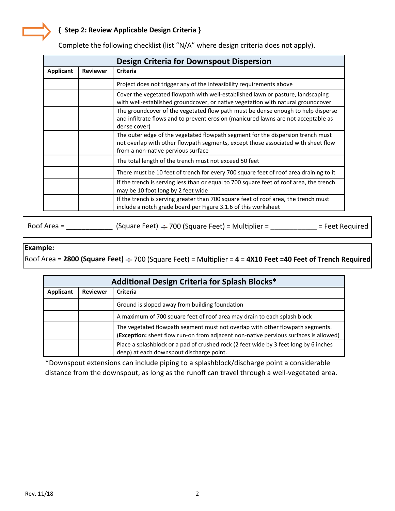### **{ Step 2: Review Applicable Design Criteria }**

|                  |                 | <b>Design Criteria for Downspout Dispersion</b>                                                                                                                                                            |
|------------------|-----------------|------------------------------------------------------------------------------------------------------------------------------------------------------------------------------------------------------------|
| <b>Applicant</b> | <b>Reviewer</b> | <b>Criteria</b>                                                                                                                                                                                            |
|                  |                 | Project does not trigger any of the infeasibility requirements above                                                                                                                                       |
|                  |                 | Cover the vegetated flowpath with well-established lawn or pasture, landscaping<br>with well-established groundcover, or native vegetation with natural groundcover                                        |
|                  |                 | The groundcover of the vegetated flow path must be dense enough to help disperse<br>and infiltrate flows and to prevent erosion (manicured lawns are not acceptable as<br>dense cover)                     |
|                  |                 | The outer edge of the vegetated flowpath segment for the dispersion trench must<br>not overlap with other flowpath segments, except those associated with sheet flow<br>from a non-native pervious surface |
|                  |                 | The total length of the trench must not exceed 50 feet                                                                                                                                                     |
|                  |                 | There must be 10 feet of trench for every 700 square feet of roof area draining to it                                                                                                                      |
|                  |                 | If the trench is serving less than or equal to 700 square feet of roof area, the trench<br>may be 10 foot long by 2 feet wide                                                                              |
|                  |                 | If the trench is serving greater than 700 square feet of roof area, the trench must<br>include a notch grade board per Figure 3.1.6 of this worksheet                                                      |

Complete the following checklist (list "N/A" where design criteria does not apply).

Roof Area =  $\frac{1}{\sqrt{2}}$  (Square Feet)  $\div$  700 (Square Feet) = Multiplier =  $\frac{1}{\sqrt{2}}$  = Feet Required

#### **Example:**

Roof Area = 2800 (Square Feet)  $\div$  700 (Square Feet) = Multiplier = 4 = 4X10 Feet =40 Feet of Trench Required

| Additional Design Criteria for Splash Blocks* |                 |                                                                                                                                                                       |
|-----------------------------------------------|-----------------|-----------------------------------------------------------------------------------------------------------------------------------------------------------------------|
| Applicant                                     | <b>Reviewer</b> | <b>Criteria</b>                                                                                                                                                       |
|                                               |                 | Ground is sloped away from building foundation                                                                                                                        |
|                                               |                 | A maximum of 700 square feet of roof area may drain to each splash block                                                                                              |
|                                               |                 | The vegetated flowpath segment must not overlap with other flowpath segments.<br>(Exception: sheet flow run-on from adjacent non-native pervious surfaces is allowed) |
|                                               |                 | Place a splashblock or a pad of crushed rock (2 feet wide by 3 feet long by 6 inches<br>deep) at each downspout discharge point.                                      |

\*Downspout extensions can include piping to a splashblock/discharge point a considerable distance from the downspout, as long as the runoff can travel through a well-vegetated area.